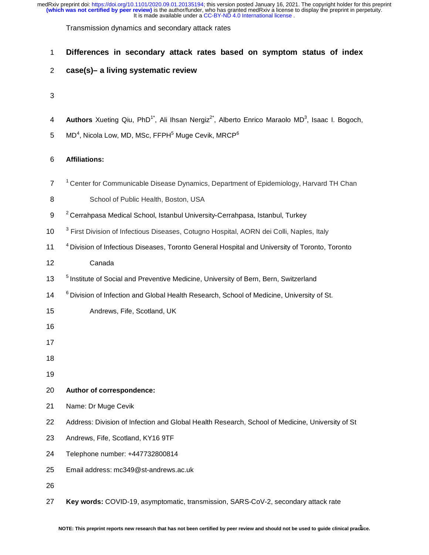Transmission dynamics and secondary attack rates

# 1 **Differences in secondary attack rates based on symptom status of index**

# 2 **case(s)– a living systematic review**

## 3

- 4 **Authors** Xueting Qiu, PhD<sup>1\*</sup>, Ali Ihsan Nergiz<sup>2\*</sup>, Alberto Enrico Maraolo MD<sup>3</sup>, Isaac I. Bogoch,
- $5\quad$  MD $^4$ , Nicola Low, MD, MSc, FFPH $^5$  Muge Cevik, MRCP $^6$

## 6 **Affiliations:**

- <sup>1</sup> Center for Communicable Disease Dynamics, Department of Epidemiology, Harvard TH Chan
- 8 School of Public Health, Boston, USA
- 9 <sup>2</sup> Cerrahpasa Medical School, Istanbul University-Cerrahpasa, Istanbul, Turkey
- ‐Cerrahpasa, Istanbul, Turkey 10 <sup>3</sup> First Division of Infectious Diseases, Cotugno Hospital, AORN dei Colli, Naples, Italy
- 11 <sup>4</sup> Division of Infectious Diseases, Toronto General Hospital and University of Toronto, Toronto 12 Canada
- 13 <sup>5</sup> Institute of Social and Preventive Medicine, University of Bern, Bern, Switzerland
- 14 <sup>6</sup> Division of Infection and Global Health Research, School of Medicine, University of St.
- 15 Andrews, Fife, Scotland, UK
- 16
- 17
- 18
- 19

# 20 **Author of correspondence:**

- 21 Name: Dr Muge Cevik
- 22 Address: Division of Infection and Global Health Research, School of Medicine, University of St
- 23 Andrews, Fife, Scotland, KY16 9TF
- 24 Telephone number: +447732800814
- 25 Email address: mc349@st-andrews.ac.uk

26

27 **Key words:** COVID-19, asymptomatic, transmission, SARS-CoV-2, secondary attack rate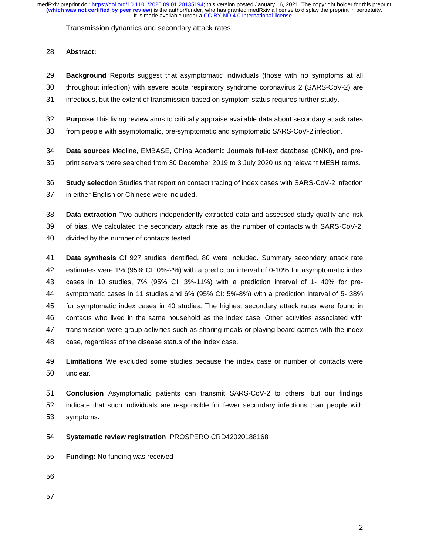Transmission dynamics and secondary attack rates

# 28 **Abstract:**

- 29 **Background** Reports suggest that asymptomatic individuals (those with no symptoms at all
- 30 throughout infection) with severe acute respiratory syndrome coronavirus 2 (SARS-CoV-2) are
- 31 infectious, but the extent of transmission based on symptom status requires further study.
- 32 **Purpose** This living review aims to critically appraise available data about secondary attack rates
- 33 from people with asymptomatic, pre-symptomatic and symptomatic SARS-CoV-2 infection.
- 34 **Data sources** Medline, EMBASE, China Academic Journals full-text database (CNKI), and pre-
- 35 print servers were searched from 30 December 2019 to 3 July 2020 using relevant MESH terms.
- 36 **Study selection** Studies that report on contact tracing of index cases with SARS-CoV-2 infection 37 in either English or Chinese were included.
- 38 **Data extraction** Two authors independently extracted data and assessed study quality and risk 39 of bias. We calculated the secondary attack rate as the number of contacts with SARS-CoV-2, 40 divided by the number of contacts tested.
- 41 **Data synthesis** Of 927 studies identified, 80 were included. Summary secondary attack rate 42 estimates were 1% (95% CI: 0%-2%) with a prediction interval of 0-10% for asymptomatic index 43 cases in 10 studies, 7% (95% CI: 3%-11%) with a prediction interval of 1- 40% for pre-44 symptomatic cases in 11 studies and 6% (95% CI: 5%-8%) with a prediction interval of 5- 38% 45 for symptomatic index cases in 40 studies. The highest secondary attack rates were found in 46 contacts who lived in the same household as the index case. Other activities associated with 47 transmission were group activities such as sharing meals or playing board games with the index 48 case, regardless of the disease status of the index case.
- 49 **Limitations** We excluded some studies because the index case or number of contacts were 50 unclear.

51 **Conclusion** Asymptomatic patients can transmit SARS-CoV-2 to others, but our findings 52 indicate that such individuals are responsible for fewer secondary infections than people with 53 symptoms.

- 54 **Systematic review registration** PROSPERO CRD42020188168
- 55 **Funding:** No funding was received
- 56
- 57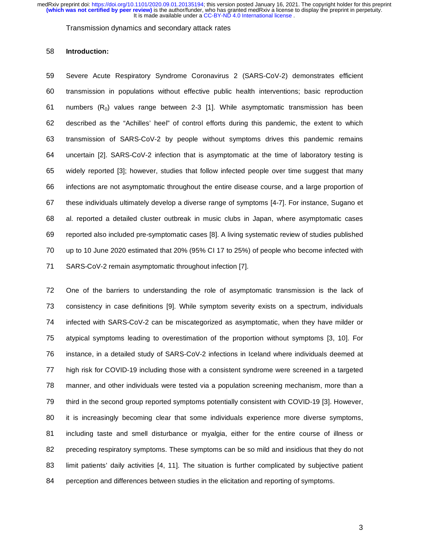Transmission dynamics and secondary attack rates

#### 58 **Introduction:**

59 Severe Acute Respiratory Syndrome Coronavirus 2 (SARS-CoV-2) demonstrates efficient 60 transmission in populations without effective public health interventions; basic reproduction 61 numbers  $(R_0)$  values range between 2-3 [1]. While asymptomatic transmission has been 62 described as the "Achilles' heel" of control efforts during this pandemic, the extent to which 63 transmission of SARS-CoV-2 by people without symptoms drives this pandemic remains 64 uncertain [2]. SARS-CoV-2 infection that is asymptomatic at the time of laboratory testing is 65 widely reported [3]; however, studies that follow infected people over time suggest that many 66 infections are not asymptomatic throughout the entire disease course, and a large proportion of 67 these individuals ultimately develop a diverse range of symptoms [4-7]. For instance, Sugano et 68 al. reported a detailed cluster outbreak in music clubs in Japan, where asymptomatic cases 69 reported also included pre-symptomatic cases [8]. A living systematic review of studies published 70 up to 10 June 2020 estimated that 20% (95% CI 17 to 25%) of people who become infected with 71 SARS-CoV-2 remain asymptomatic throughout infection [7].

72 One of the barriers to understanding the role of asymptomatic transmission is the lack of 73 consistency in case definitions [9]. While symptom severity exists on a spectrum, individuals 74 infected with SARS-CoV-2 can be miscategorized as asymptomatic, when they have milder or 75 atypical symptoms leading to overestimation of the proportion without symptoms [3, 10]. For 76 instance, in a detailed study of SARS-CoV-2 infections in Iceland where individuals deemed at 77 high risk for COVID-19 including those with a consistent syndrome were screened in a targeted 78 manner, and other individuals were tested via a population screening mechanism, more than a 79 third in the second group reported symptoms potentially consistent with COVID-19 [3]. However, 80 it is increasingly becoming clear that some individuals experience more diverse symptoms, 81 including taste and smell disturbance or myalgia, either for the entire course of illness or 82 preceding respiratory symptoms. These symptoms can be so mild and insidious that they do not 83 limit patients' daily activities [4, 11]. The situation is further complicated by subjective patient 84 perception and differences between studies in the elicitation and reporting of symptoms.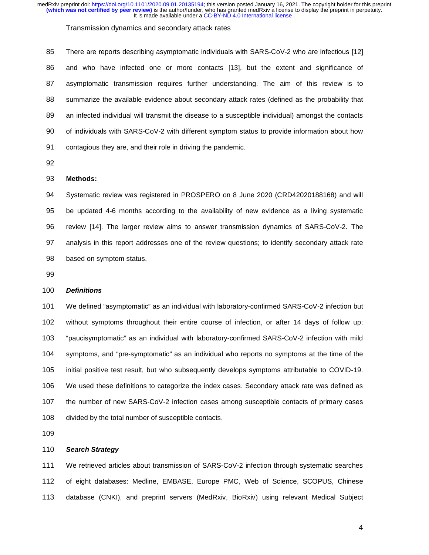#### Transmission dynamics and secondary attack rates

85 There are reports describing asymptomatic individuals with SARS-CoV-2 who are infectious [12] 86 and who have infected one or more contacts [13], but the extent and significance of 87 asymptomatic transmission requires further understanding. The aim of this review is to 88 summarize the available evidence about secondary attack rates (defined as the probability that 89 an infected individual will transmit the disease to a susceptible individual) amongst the contacts 90 of individuals with SARS-CoV-2 with different symptom status to provide information about how 91 contagious they are, and their role in driving the pandemic.

92

#### 93 **Methods:**

94 Systematic review was registered in PROSPERO on 8 June 2020 (CRD42020188168) and will 95 be updated 4-6 months according to the availability of new evidence as a living systematic 96 review [14]. The larger review aims to answer transmission dynamics of SARS-CoV-2. The 97 analysis in this report addresses one of the review questions; to identify secondary attack rate 98 based on symptom status.

99

## 100 *Definitions*

101 We defined "asymptomatic" as an individual with laboratory-confirmed SARS-CoV-2 infection but 102 without symptoms throughout their entire course of infection, or after 14 days of follow up; 103 "paucisymptomatic" as an individual with laboratory-confirmed SARS-CoV-2 infection with mild 104 symptoms, and "pre-symptomatic" as an individual who reports no symptoms at the time of the 105 initial positive test result, but who subsequently develops symptoms attributable to COVID-19. 106 We used these definitions to categorize the index cases. Secondary attack rate was defined as 107 the number of new SARS-CoV-2 infection cases among susceptible contacts of primary cases 108 divided by the total number of susceptible contacts.

109

## 110 *Search Strategy*

111 We retrieved articles about transmission of SARS-CoV-2 infection through systematic searches 112 of eight databases: Medline, EMBASE, Europe PMC, Web of Science, SCOPUS, Chinese 113 database (CNKI), and preprint servers (MedRxiv, BioRxiv) using relevant Medical Subject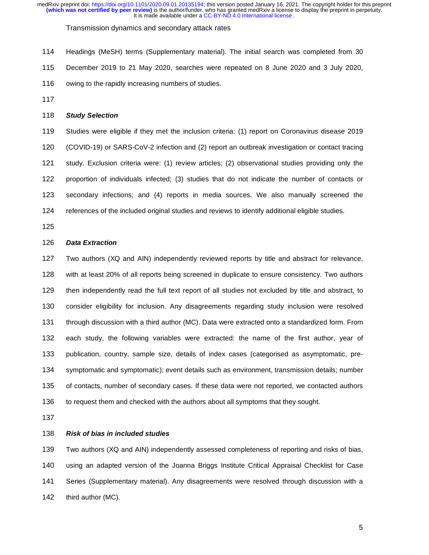Transmission dynamics and secondary attack rates

114 Headings (MeSH) terms (Supplementary material). The initial search was completed from 30 115 December 2019 to 21 May 2020, searches were repeated on 8 June 2020 and 3 July 2020, 116 owing to the rapidly increasing numbers of studies.

117

## 118 *Study Selection*

119 Studies were eligible if they met the inclusion criteria: (1) report on Coronavirus disease 2019 120 (COVID-19) or SARS-CoV-2 infection and (2) report an outbreak investigation or contact tracing 121 study. Exclusion criteria were: (1) review articles; (2) observational studies providing only the 122 proportion of individuals infected; (3) studies that do not indicate the number of contacts or 123 secondary infections; and (4) reports in media sources. We also manually screened the 124 references of the included original studies and reviews to identify additional eligible studies.

125

### 126 *Data Extraction*

127 Two authors (XQ and AIN) independently reviewed reports by title and abstract for relevance, 128 with at least 20% of all reports being screened in duplicate to ensure consistency. Two authors 129 then independently read the full text report of all studies not excluded by title and abstract, to 130 consider eligibility for inclusion. Any disagreements regarding study inclusion were resolved 131 through discussion with a third author (MC). Data were extracted onto a standardized form. From 132 each study, the following variables were extracted: the name of the first author, year of 133 publication, country, sample size, details of index cases (categorised as asymptomatic, pre-134 symptomatic and symptomatic); event details such as environment, transmission details; number 135 of contacts, number of secondary cases. If these data were not reported, we contacted authors 136 to request them and checked with the authors about all symptoms that they sought.

137

#### 138 *Risk of bias in included studies*

139 Two authors (XQ and AIN) independently assessed completeness of reporting and risks of bias, 140 using an adapted version of the Joanna Briggs Institute Critical Appraisal Checklist for Case 141 Series (Supplementary material). Any disagreements were resolved through discussion with a 142 third author (MC).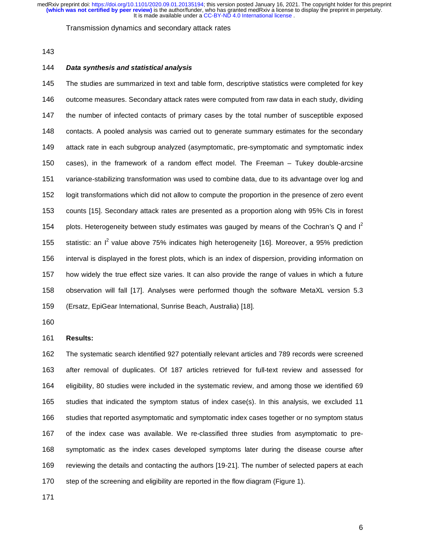#### Transmission dynamics and secondary attack rates

143

## 144 *Data synthesis and statistical analysis*

145 The studies are summarized in text and table form, descriptive statistics were completed for key 146 outcome measures. Secondary attack rates were computed from raw data in each study, dividing 147 the number of infected contacts of primary cases by the total number of susceptible exposed 148 contacts. A pooled analysis was carried out to generate summary estimates for the secondary 149 attack rate in each subgroup analyzed (asymptomatic, pre-symptomatic and symptomatic index 150 cases), in the framework of a random effect model. The Freeman – Tukey double-arcsine 151 variance-stabilizing transformation was used to combine data, due to its advantage over log and 152 logit transformations which did not allow to compute the proportion in the presence of zero event 153 counts [15]. Secondary attack rates are presented as a proportion along with 95% CIs in forest 154 plots. Heterogeneity between study estimates was gauged by means of the Cochran's Q and  $I^2$ 155 statistic: an  $I^2$  value above 75% indicates high heterogeneity [16]. Moreover, a 95% prediction 156 interval is displayed in the forest plots, which is an index of dispersion, providing information on 157 how widely the true effect size varies. It can also provide the range of values in which a future 158 observation will fall [17]. Analyses were performed though the software MetaXL version 5.3 159 (Ersatz, EpiGear International, Sunrise Beach, Australia) [18].

160

#### 161 **Results:**

162 The systematic search identified 927 potentially relevant articles and 789 records were screened 163 after removal of duplicates. Of 187 articles retrieved for full-text review and assessed for 164 eligibility, 80 studies were included in the systematic review, and among those we identified 69 165 studies that indicated the symptom status of index case(s). In this analysis, we excluded 11 166 studies that reported asymptomatic and symptomatic index cases together or no symptom status 167 of the index case was available. We re-classified three studies from asymptomatic to pre-168 symptomatic as the index cases developed symptoms later during the disease course after 169 reviewing the details and contacting the authors [19-21]. The number of selected papers at each 170 step of the screening and eligibility are reported in the flow diagram (Figure 1).

171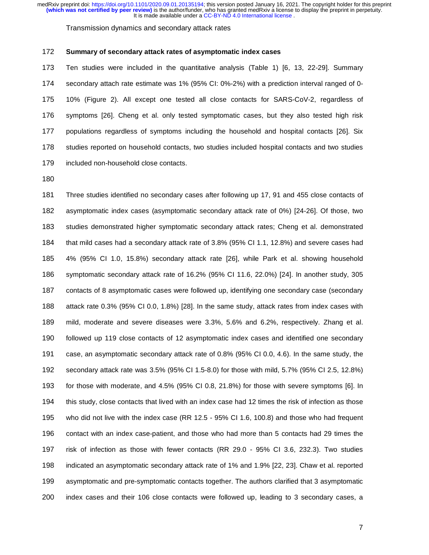Transmission dynamics and secondary attack rates

#### 172 **Summary of secondary attack rates of asymptomatic index cases**

173 Ten studies were included in the quantitative analysis (Table 1) [6, 13, 22-29]. Summary 174 secondary attach rate estimate was 1% (95% CI: 0%-2%) with a prediction interval ranged of 0- 175 10% (Figure 2). All except one tested all close contacts for SARS-CoV-2, regardless of 176 symptoms [26]. Cheng et al. only tested symptomatic cases, but they also tested high risk 177 populations regardless of symptoms including the household and hospital contacts [26]. Six 178 studies reported on household contacts, two studies included hospital contacts and two studies 179 included non-household close contacts.

180

181 Three studies identified no secondary cases after following up 17, 91 and 455 close contacts of 182 asymptomatic index cases (asymptomatic secondary attack rate of 0%) [24-26]. Of those, two 183 studies demonstrated higher symptomatic secondary attack rates; Cheng et al. demonstrated 184 that mild cases had a secondary attack rate of 3.8% (95% CI 1.1, 12.8%) and severe cases had 185 4% (95% CI 1.0, 15.8%) secondary attack rate [26], while Park et al. showing household 186 symptomatic secondary attack rate of 16.2% (95% CI 11.6, 22.0%) [24]. In another study, 305 187 contacts of 8 asymptomatic cases were followed up, identifying one secondary case (secondary 188 attack rate 0.3% (95% CI 0.0, 1.8%) [28]. In the same study, attack rates from index cases with 189 mild, moderate and severe diseases were 3.3%, 5.6% and 6.2%, respectively. Zhang et al. 190 followed up 119 close contacts of 12 asymptomatic index cases and identified one secondary 191 case, an asymptomatic secondary attack rate of 0.8% (95% CI 0.0, 4.6). In the same study, the 192 secondary attack rate was 3.5% (95% CI 1.5-8.0) for those with mild, 5.7% (95% CI 2.5, 12.8%) 193 for those with moderate, and 4.5% (95% CI 0.8, 21.8%) for those with severe symptoms [6]. In 194 this study, close contacts that lived with an index case had 12 times the risk of infection as those 195 who did not live with the index case (RR 12.5 - 95% CI 1.6, 100.8) and those who had frequent 196 contact with an index case-patient, and those who had more than 5 contacts had 29 times the 197 risk of infection as those with fewer contacts (RR 29.0 - 95% CI 3.6, 232.3). Two studies 198 indicated an asymptomatic secondary attack rate of 1% and 1.9% [22, 23]. Chaw et al. reported 199 asymptomatic and pre-symptomatic contacts together. The authors clarified that 3 asymptomatic 200 index cases and their 106 close contacts were followed up, leading to 3 secondary cases, a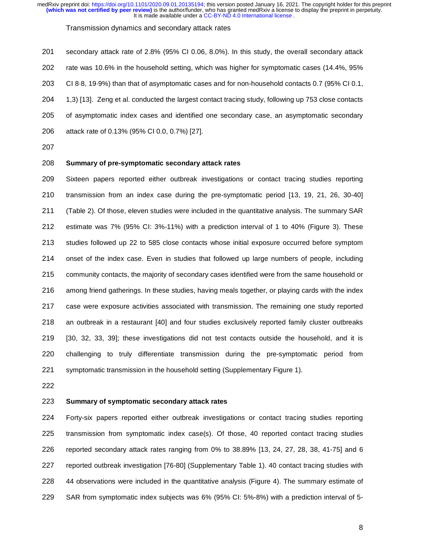Transmission dynamics and secondary attack rates

201 secondary attack rate of 2.8% (95% CI 0.06, 8.0%). In this study, the overall secondary attack 202 rate was 10.6% in the household setting, which was higher for symptomatic cases (14.4%, 95% 203 CI 8·8, 19·9%) than that of asymptomatic cases and for non-household contacts 0.7 (95% CI 0.1, 204 1,3) [13]. Zeng et al. conducted the largest contact tracing study, following up 753 close contacts 205 of asymptomatic index cases and identified one secondary case, an asymptomatic secondary 206 attack rate of 0.13% (95% CI 0.0, 0.7%) [27].

207

## 208 **Summary of pre-symptomatic secondary attack rates**

209 Sixteen papers reported either outbreak investigations or contact tracing studies reporting 210 transmission from an index case during the pre-symptomatic period [13, 19, 21, 26, 30-40] 211 (Table 2). Of those, eleven studies were included in the quantitative analysis. The summary SAR 212 estimate was 7% (95% CI: 3%-11%) with a prediction interval of 1 to 40% (Figure 3). These 213 studies followed up 22 to 585 close contacts whose initial exposure occurred before symptom 214 onset of the index case. Even in studies that followed up large numbers of people, including 215 community contacts, the majority of secondary cases identified were from the same household or 216 among friend gatherings. In these studies, having meals together, or playing cards with the index 217 case were exposure activities associated with transmission. The remaining one study reported 218 an outbreak in a restaurant [40] and four studies exclusively reported family cluster outbreaks 219 [30, 32, 33, 39]; these investigations did not test contacts outside the household, and it is 220 challenging to truly differentiate transmission during the pre-symptomatic period from 221 symptomatic transmission in the household setting (Supplementary Figure 1).

222

#### 223 **Summary of symptomatic secondary attack rates**

224 Forty-six papers reported either outbreak investigations or contact tracing studies reporting 225 transmission from symptomatic index case(s). Of those, 40 reported contact tracing studies 226 reported secondary attack rates ranging from 0% to 38.89% [13, 24, 27, 28, 38, 41-75] and 6 227 reported outbreak investigation [76-80] (Supplementary Table 1). 40 contact tracing studies with 228 44 observations were included in the quantitative analysis (Figure 4). The summary estimate of 229 SAR from symptomatic index subjects was 6% (95% CI: 5%-8%) with a prediction interval of 5-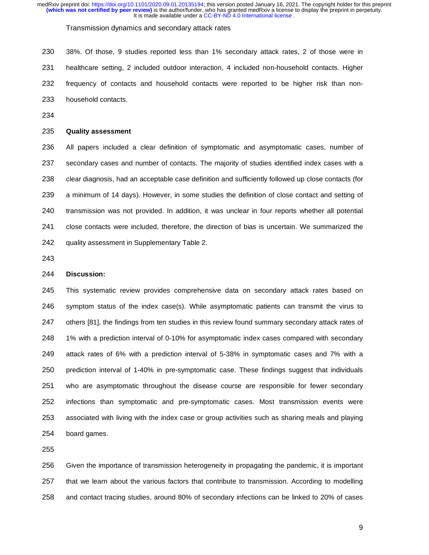Transmission dynamics and secondary attack rates

230 38%. Of those, 9 studies reported less than 1% secondary attack rates, 2 of those were in 231 healthcare setting, 2 included outdoor interaction, 4 included non-household contacts. Higher 232 frequency of contacts and household contacts were reported to be higher risk than non-233 household contacts.

234

# 235 **Quality assessment**

236 All papers included a clear definition of symptomatic and asymptomatic cases, number of 237 secondary cases and number of contacts. The majority of studies identified index cases with a 238 clear diagnosis, had an acceptable case definition and sufficiently followed up close contacts (for 239 a minimum of 14 days). However, in some studies the definition of close contact and setting of 240 transmission was not provided. In addition, it was unclear in four reports whether all potential 241 close contacts were included, therefore, the direction of bias is uncertain. We summarized the 242 quality assessment in Supplementary Table 2.

243

## 244 **Discussion:**

245 This systematic review provides comprehensive data on secondary attack rates based on 246 symptom status of the index case(s). While asymptomatic patients can transmit the virus to 247 others [81], the findings from ten studies in this review found summary secondary attack rates of 248 1% with a prediction interval of 0-10% for asymptomatic index cases compared with secondary 249 attack rates of 6% with a prediction interval of 5-38% in symptomatic cases and 7% with a 250 prediction interval of 1-40% in pre-symptomatic case. These findings suggest that individuals 251 who are asymptomatic throughout the disease course are responsible for fewer secondary 252 infections than symptomatic and pre-symptomatic cases. Most transmission events were 253 associated with living with the index case or group activities such as sharing meals and playing 254 board games.

255

256 Given the importance of transmission heterogeneity in propagating the pandemic, it is important 257 that we learn about the various factors that contribute to transmission. According to modelling 258 and contact tracing studies, around 80% of secondary infections can be linked to 20% of cases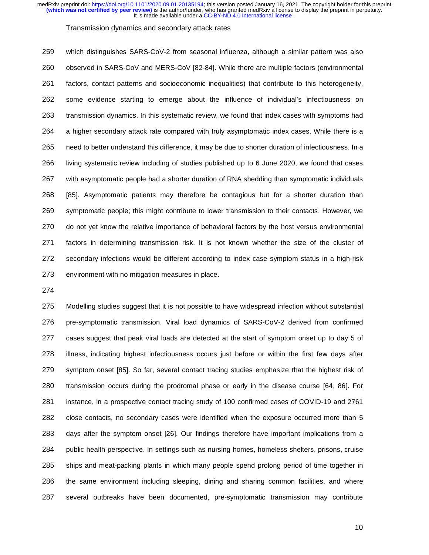#### Transmission dynamics and secondary attack rates

259 which distinguishes SARS-CoV-2 from seasonal influenza, although a similar pattern was also 260 observed in SARS-CoV and MERS-CoV [82-84]. While there are multiple factors (environmental 261 factors, contact patterns and socioeconomic inequalities) that contribute to this heterogeneity, 262 some evidence starting to emerge about the influence of individual's infectiousness on 263 transmission dynamics. In this systematic review, we found that index cases with symptoms had 264 a higher secondary attack rate compared with truly asymptomatic index cases. While there is a 265 need to better understand this difference, it may be due to shorter duration of infectiousness. In a 266 living systematic review including of studies published up to 6 June 2020, we found that cases 267 with asymptomatic people had a shorter duration of RNA shedding than symptomatic individuals 268 [85]. Asymptomatic patients may therefore be contagious but for a shorter duration than 269 symptomatic people; this might contribute to lower transmission to their contacts. However, we 270 do not yet know the relative importance of behavioral factors by the host versus environmental 271 factors in determining transmission risk. It is not known whether the size of the cluster of 272 secondary infections would be different according to index case symptom status in a high-risk 273 environment with no mitigation measures in place.

274

275 Modelling studies suggest that it is not possible to have widespread infection without substantial 276 pre-symptomatic transmission. Viral load dynamics of SARS-CoV-2 derived from confirmed 277 cases suggest that peak viral loads are detected at the start of symptom onset up to day 5 of 278 illness, indicating highest infectiousness occurs just before or within the first few days after 279 symptom onset [85]. So far, several contact tracing studies emphasize that the highest risk of 280 transmission occurs during the prodromal phase or early in the disease course [64, 86]. For 281 instance, in a prospective contact tracing study of 100 confirmed cases of COVID-19 and 2761 282 close contacts, no secondary cases were identified when the exposure occurred more than 5 283 days after the symptom onset [26]. Our findings therefore have important implications from a 284 public health perspective. In settings such as nursing homes, homeless shelters, prisons, cruise 285 ships and meat-packing plants in which many people spend prolong period of time together in 286 the same environment including sleeping, dining and sharing common facilities, and where 287 several outbreaks have been documented, pre-symptomatic transmission may contribute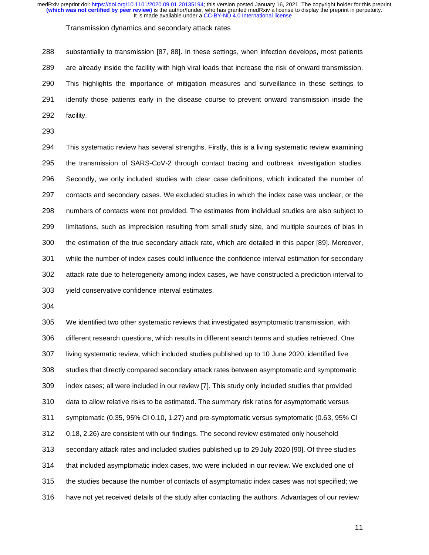Transmission dynamics and secondary attack rates

288 substantially to transmission [87, 88]. In these settings, when infection develops, most patients 289 are already inside the facility with high viral loads that increase the risk of onward transmission. 290 This highlights the importance of mitigation measures and surveillance in these settings to 291 identify those patients early in the disease course to prevent onward transmission inside the 292 facility.

293

294 This systematic review has several strengths. Firstly, this is a living systematic review examining 295 the transmission of SARS-CoV-2 through contact tracing and outbreak investigation studies. 296 Secondly, we only included studies with clear case definitions, which indicated the number of 297 contacts and secondary cases. We excluded studies in which the index case was unclear, or the 298 numbers of contacts were not provided. The estimates from individual studies are also subject to 299 limitations, such as imprecision resulting from small study size, and multiple sources of bias in 300 the estimation of the true secondary attack rate, which are detailed in this paper [89]. Moreover, 301 while the number of index cases could influence the confidence interval estimation for secondary 302 attack rate due to heterogeneity among index cases, we have constructed a prediction interval to 303 yield conservative confidence interval estimates.

304

305 We identified two other systematic reviews that investigated asymptomatic transmission, with 306 different research questions, which results in different search terms and studies retrieved. One 307 living systematic review, which included studies published up to 10 June 2020, identified five 308 studies that directly compared secondary attack rates between asymptomatic and symptomatic 309 index cases; all were included in our review [7]. This study only included studies that provided 310 data to allow relative risks to be estimated. The summary risk ratios for asymptomatic versus 311 symptomatic (0.35, 95% CI 0.10, 1.27) and pre-symptomatic versus symptomatic (0.63, 95% CI 312 0.18, 2.26) are consistent with our findings. The second review estimated only household 313 secondary attack rates and included studies published up to 29 July 2020 [90]. Of three studies 314 that included asymptomatic index cases, two were included in our review. We excluded one of 315 the studies because the number of contacts of asymptomatic index cases was not specified; we 316 have not yet received details of the study after contacting the authors. Advantages of our review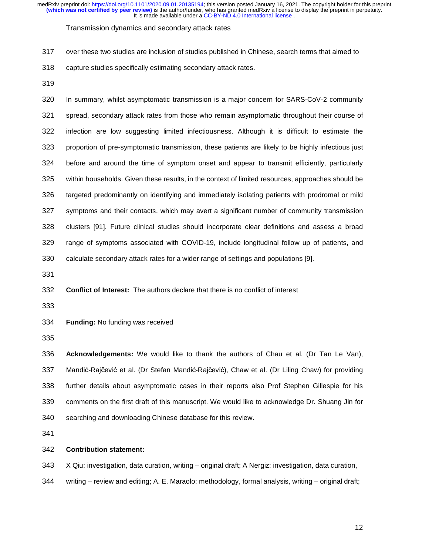#### Transmission dynamics and secondary attack rates

- 317 over these two studies are inclusion of studies published in Chinese, search terms that aimed to
- 318 capture studies specifically estimating secondary attack rates.
- 319

320 In summary, whilst asymptomatic transmission is a major concern for SARS-CoV-2 community 321 spread, secondary attack rates from those who remain asymptomatic throughout their course of 322 infection are low suggesting limited infectiousness. Although it is difficult to estimate the 323 proportion of pre-symptomatic transmission, these patients are likely to be highly infectious just 324 before and around the time of symptom onset and appear to transmit efficiently, particularly 325 within households. Given these results, in the context of limited resources, approaches should be 326 targeted predominantly on identifying and immediately isolating patients with prodromal or mild 327 symptoms and their contacts, which may avert a significant number of community transmission 328 clusters [91]. Future clinical studies should incorporate clear definitions and assess a broad 329 range of symptoms associated with COVID-19, include longitudinal follow up of patients, and 330 calculate secondary attack rates for a wider range of settings and populations [9].

331

332 **Conflict of Interest:** The authors declare that there is no conflict of interest

333

334 **Funding:** No funding was received

335

336 **Acknowledgements:** We would like to thank the authors of Chau et al. (Dr Tan Le Van), 337 Mandić-Rajčević et al. (Dr Stefan Mandić-Rajčević), Chaw et al. (Dr Liling Chaw) for providing 338 further details about asymptomatic cases in their reports also Prof Stephen Gillespie for his 339 comments on the first draft of this manuscript. We would like to acknowledge Dr. Shuang Jin for 340 searching and downloading Chinese database for this review.

341

## 342 **Contribution statement:**

343 X Qiu: investigation, data curation, writing – original draft; A Nergiz: investigation, data curation,

344 writing – review and editing; A. E. Maraolo: methodology, formal analysis, writing – original draft;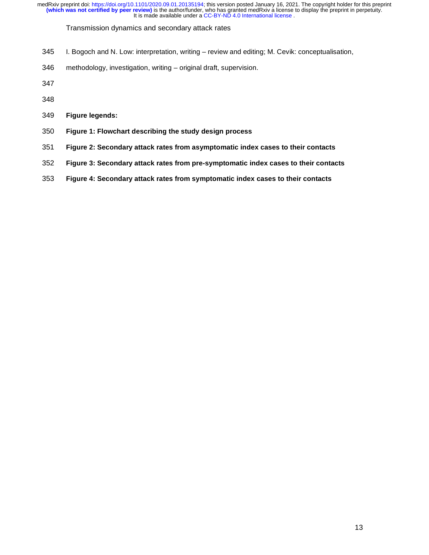- 345 I. Bogoch and N. Low: interpretation, writing review and editing; M. Cevik: conceptualisation,
- 346 methodology, investigation, writing original draft, supervision.
- 
- 
- **Figure legends:**
- **Figure 1: Flowchart describing the study design process**
- **Figure 2: Secondary attack rates from asymptomatic index cases to their contacts**
- **Figure 3: Secondary attack rates from pre-symptomatic index cases to their contacts**
- **Figure 4: Secondary attack rates from symptomatic index cases to their contacts**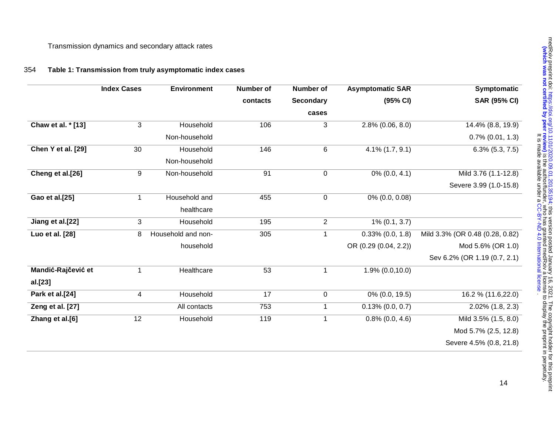# 354 **Table 1: Transmission from truly asymptomatic index cases**

|                    | <b>Index Cases</b> | <b>Environment</b> | <b>Number of</b> | <b>Number of</b>          | <b>Asymptomatic SAR</b> | Symptomatic                     |
|--------------------|--------------------|--------------------|------------------|---------------------------|-------------------------|---------------------------------|
|                    |                    |                    | contacts         | <b>Secondary</b><br>cases | (95% CI)                | <b>SAR (95% CI)</b>             |
|                    |                    |                    |                  |                           |                         |                                 |
| Chaw et al. * [13] | 3                  | Household          | 106              | 3                         | $2.8\%$ (0.06, 8.0)     | 14.4% (8.8, 19.9)               |
|                    |                    | Non-household      |                  |                           |                         | $0.7\%$ (0.01, 1.3)             |
| Chen Y et al. [29] | 30                 | Household          | 146              | 6                         | $4.1\%$ $(1.7, 9.1)$    | $6.3\%$ $(5.3, 7.5)$            |
|                    |                    | Non-household      |                  |                           |                         |                                 |
| Cheng et al.[26]   | $\boldsymbol{9}$   | Non-household      | 91               | $\mathsf 0$               | $0\%$ (0.0, 4.1)        | Mild 3.76 (1.1-12.8)            |
|                    |                    |                    |                  |                           |                         | Severe 3.99 (1.0-15.8)          |
| Gao et al.[25]     | $\mathbf{1}$       | Household and      | 455              | $\pmb{0}$                 | 0% (0.0, 0.08)          |                                 |
|                    |                    | healthcare         |                  |                           |                         |                                 |
| Jiang et al.[22]   | 3                  | Household          | 195              | $\overline{c}$            | $1\%$ (0.1, 3.7)        |                                 |
| Luo et al. [28]    | 8                  | Household and non- | 305              | $\mathbf{1}$              | $0.33\%$ $(0.0, 1.8)$   | Mild 3.3% (OR 0.48 (0.28, 0.82) |
|                    |                    | household          |                  |                           | OR (0.29 (0.04, 2.2))   | Mod 5.6% (OR 1.0)               |
|                    |                    |                    |                  |                           |                         | Sev 6.2% (OR 1.19 (0.7, 2.1)    |
| Mandić-Rajčević et | $\mathbf{1}$       | Healthcare         | 53               | $\mathbf{1}$              | $1.9\% (0.0, 10.0)$     |                                 |
| al.[23]            |                    |                    |                  |                           |                         |                                 |
| Park et al.[24]    | 4                  | Household          | 17               | $\mathsf 0$               | 0% (0.0, 19.5)          | 16.2 % (11.6,22.0)              |
| Zeng et al. [27]   |                    | All contacts       | 753              | $\mathbf{1}$              | $0.13\%$ (0.0, 0.7)     | 2.02% (1.8, 2.3)                |
| Zhang et al.[6]    | 12                 | Household          | 119              | $\mathbf{1}$              | $0.8\%$ (0.0, 4.6)      | Mild 3.5% (1.5, 8.0)            |
|                    |                    |                    |                  |                           |                         | Mod 5.7% (2.5, 12.8)            |
|                    |                    |                    |                  |                           |                         | Severe 4.5% (0.8, 21.8)         |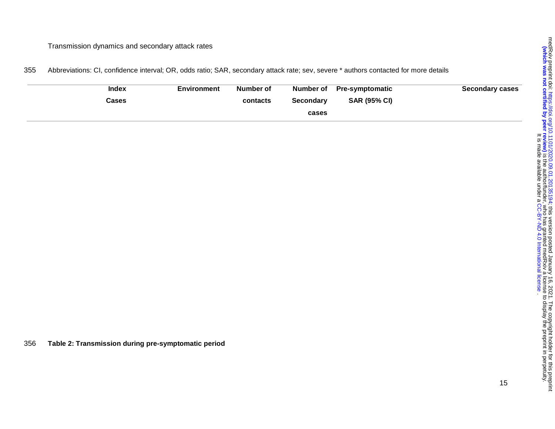Transmission dynamics and secondary attack rates

355 Abbreviations: CI, confidence interval; OR, odds ratio; SAR, secondary attack rate; sev, severe \* authors contacted for more details

| <b>Index</b> | Environment | Number of |           | Number of Pre-symptomatic | <b>Secondary cases</b> |
|--------------|-------------|-----------|-----------|---------------------------|------------------------|
| Cases        |             | contacts  | Secondary | <b>SAR (95% CI)</b>       |                        |
|              |             |           | cases     |                           |                        |

356 **Table 2: Transmission during pre-symptomatic period**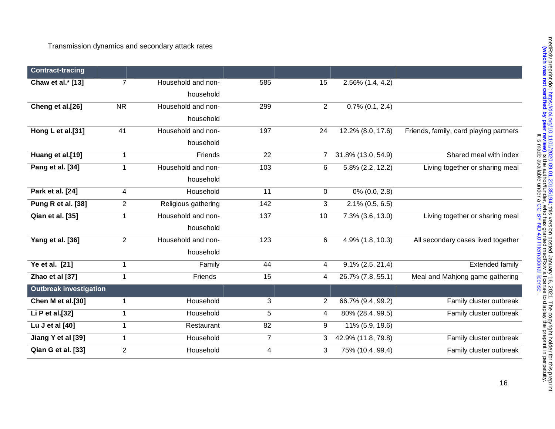| <b>Contract-tracing</b>       |                |                     |     |                |                     |                                        |
|-------------------------------|----------------|---------------------|-----|----------------|---------------------|----------------------------------------|
| Chaw et al.* [13]             | $\overline{7}$ | Household and non-  | 585 | 15             | $2.56\%$ (1.4, 4.2) |                                        |
|                               |                | household           |     |                |                     |                                        |
| Cheng et al. <sup>[26]</sup>  | <b>NR</b>      | Household and non-  | 299 | $\overline{2}$ | $0.7\%$ (0.1, 2.4)  |                                        |
|                               |                | household           |     |                |                     |                                        |
| Hong L et al.[31]             | 41             | Household and non-  | 197 | 24             | 12.2% (8.0, 17.6)   | Friends, family, card playing partners |
|                               |                | household           |     |                |                     |                                        |
| Huang et al.[19]              | $\mathbf 1$    | Friends             | 22  | $\overline{7}$ | 31.8% (13.0, 54.9)  | Shared meal with index                 |
| Pang et al. [34]              | 1              | Household and non-  | 103 | 6              | 5.8% (2.2, 12.2)    | Living together or sharing meal        |
|                               |                | household           |     |                |                     |                                        |
| Park et al. [24]              | 4              | Household           | 11  | $\mathbf 0$    | $0\%$ (0.0, 2.8)    |                                        |
| Pung R et al. [38]            | $\overline{2}$ | Religious gathering | 142 | 3              | $2.1\%$ (0.5, 6.5)  |                                        |
| <b>Qian et al. [35]</b>       | $\mathbf{1}$   | Household and non-  | 137 | 10             | 7.3% (3.6, 13.0)    | Living together or sharing meal        |
|                               |                | household           |     |                |                     |                                        |
| Yang et al. [36]              | $\overline{2}$ | Household and non-  | 123 | 6              | 4.9% (1.8, 10.3)    | All secondary cases lived together     |
|                               |                | household           |     |                |                     |                                        |
| Ye et al. [21]                | 1              | Family              | 44  | 4              | $9.1\%$ (2.5, 21.4) | <b>Extended family</b>                 |
| Zhao et al [37]               | $\mathbf{1}$   | Friends             | 15  | 4              | 26.7% (7.8, 55.1)   | Meal and Mahjong game gathering        |
| <b>Outbreak investigation</b> |                |                     |     |                |                     |                                        |
| Chen M et al.[30]             | $\mathbf{1}$   | Household           | 3   | 2              | 66.7% (9.4, 99.2)   | Family cluster outbreak                |
| Li P et al.[32]               | $\mathbf{1}$   | Household           | 5   | 4              | 80% (28.4, 99.5)    | Family cluster outbreak                |
| Lu J et al [40]               | $\mathbf{1}$   | Restaurant          | 82  | 9              | 11% (5.9, 19.6)     |                                        |
| Jiang Y et al [39]            | 1              | Household           | 7   | 3              | 42.9% (11.8, 79.8)  | Family cluster outbreak                |
| Qian G et al. [33]            | $\overline{2}$ | Household           | 4   | 3              | 75% (10.4, 99.4)    | Family cluster outbreak                |
|                               |                |                     |     |                |                     |                                        |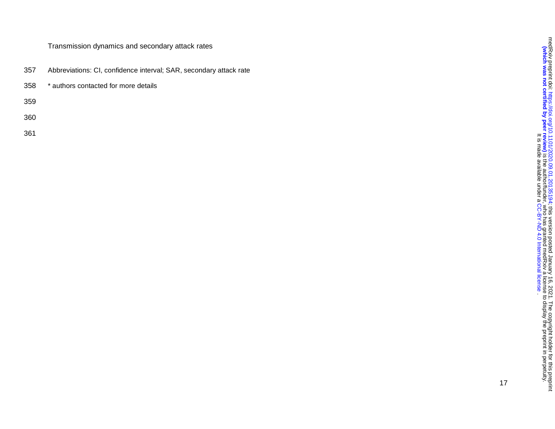- 357 Abbreviations: CI, confidence interval; SAR, secondary attack rate
- 358 \* authors contacted for more details
- 359
- 360
- 361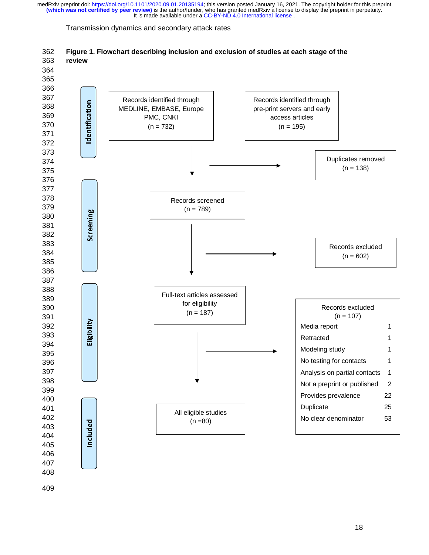Transmission dynamics and secondary attack rates



362 **Figure 1. Flowchart describing inclusion and exclusion of studies at each stage of the**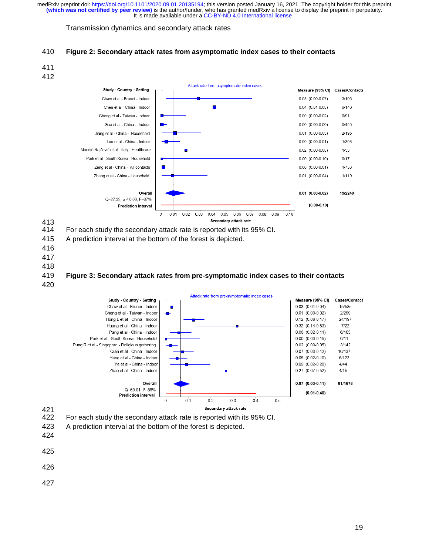# Transmission dynamics and secondary attack rates









For each study the secondary attack rate is reported with its 95% CI.

- 415 A prediction interval at the bottom of the forest is depicted.
- 
- 
- 

# **Figure 3: Secondary attack rates from pre-symptomatic index cases to their contacts**



# 421<br>422

422 For each study the secondary attack rate is reported with its 95% CI.

- 423 A prediction interval at the bottom of the forest is depicted.
- 
- 
- 
-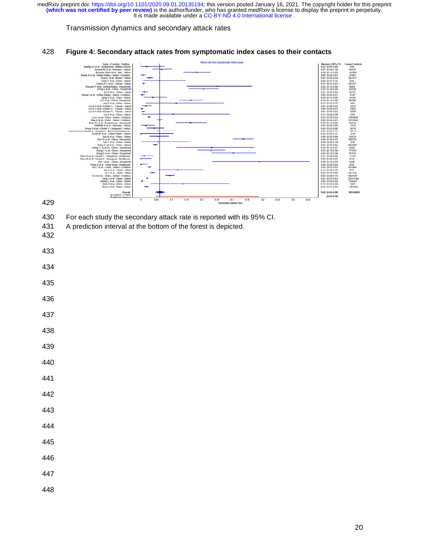## Transmission dynamics and secondary attack rates





430 For each study the secondary attack rate is reported with its 95% CI.

- 431 A prediction interval at the bottom of the forest is depicted.
- 

- 
- 
- 
- 
- 
- 
- 
- 
- 
- 
- 
- 
- 
- 
- 
- 
-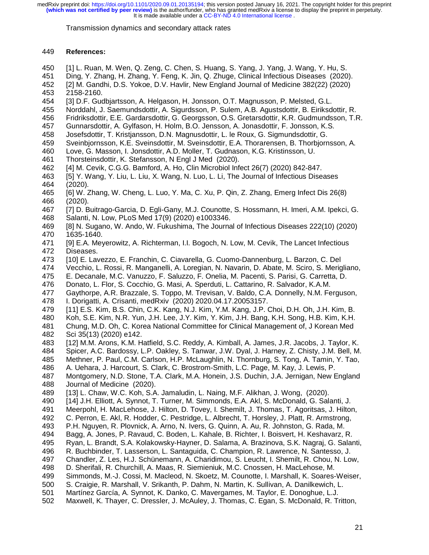Transmission dynamics and secondary attack rates

# 449 **References:**

- 450 [1] L. Ruan, M. Wen, Q. Zeng, C. Chen, S. Huang, S. Yang, J. Yang, J. Wang, Y. Hu, S.
- 451 Ding, Y. Zhang, H. Zhang, Y. Feng, K. Jin, Q. Zhuge, Clinical Infectious Diseases (2020).
- 452 [2] M. Gandhi, D.S. Yokoe, D.V. Havlir, New England Journal of Medicine 382(22) (2020)
- 453 2158-2160.
- 454 [3] D.F. Gudbjartsson, A. Helgason, H. Jonsson, O.T. Magnusson, P. Melsted, G.L.
- 455 Norddahl, J. Saemundsdottir, A. Sigurdsson, P. Sulem, A.B. Agustsdottir, B. Eiriksdottir, R.
- 456 Fridriksdottir, E.E. Gardarsdottir, G. Georgsson, O.S. Gretarsdottir, K.R. Gudmundsson, T.R.
- 457 Gunnarsdottir, A. Gylfason, H. Holm, B.O. Jensson, A. Jonasdottir, F. Jonsson, K.S.
- 458 Josefsdottir, T. Kristjansson, D.N. Magnusdottir, L. le Roux, G. Sigmundsdottir, G.
- 459 Sveinbjornsson, K.E. Sveinsdottir, M. Sveinsdottir, E.A. Thorarensen, B. Thorbjornsson, A.
- 460 Love, G. Masson, I. Jonsdottir, A.D. Moller, T. Gudnason, K.G. Kristinsson, U.
- 461 Thorsteinsdottir, K. Stefansson, N Engl J Med (2020).
- 462 [4] M. Cevik, C.G.G. Bamford, A. Ho, Clin Microbiol Infect 26(7) (2020) 842-847.
- 463 [5] Y. Wang, Y. Liu, L. Liu, X. Wang, N. Luo, L. Li, The Journal of Infectious Diseases  $(2020).$
- 465 [6] W. Zhang, W. Cheng, L. Luo, Y. Ma, C. Xu, P. Qin, Z. Zhang, Emerg Infect Dis 26(8) 466 (2020).
- 467 [7] D. Buitrago-Garcia, D. Egli-Gany, M.J. Counotte, S. Hossmann, H. Imeri, A.M. Ipekci, G. 468 Salanti, N. Low, PLoS Med 17(9) (2020) e1003346.
- 469 [8] N. Sugano, W. Ando, W. Fukushima, The Journal of Infectious Diseases 222(10) (2020) 470 1635-1640.
- 471 [9] E.A. Meyerowitz, A. Richterman, I.I. Bogoch, N. Low, M. Cevik, The Lancet Infectious 472 Diseases.
- 473 [10] E. Lavezzo, E. Franchin, C. Ciavarella, G. Cuomo-Dannenburg, L. Barzon, C. Del
- 474 Vecchio, L. Rossi, R. Manganelli, A. Loregian, N. Navarin, D. Abate, M. Sciro, S. Merigliano,
- 475 E. Decanale, M.C. Vanuzzo, F. Saluzzo, F. Onelia, M. Pacenti, S. Parisi, G. Carretta, D.
- 476 Donato, L. Flor, S. Cocchio, G. Masi, A. Sperduti, L. Cattarino, R. Salvador, K.A.M.
- 477 Gaythorpe, A.R. Brazzale, S. Toppo, M. Trevisan, V. Baldo, C.A. Donnelly, N.M. Ferguson,
- 478 I. Dorigatti, A. Crisanti, medRxiv (2020) 2020.04.17.20053157.
- 479 [11] E.S. Kim, B.S. Chin, C.K. Kang, N.J. Kim, Y.M. Kang, J.P. Choi, D.H. Oh, J.H. Kim, B.
- 480 Koh, S.E. Kim, N.R. Yun, J.H. Lee, J.Y. Kim, Y. Kim, J.H. Bang, K.H. Song, H.B. Kim, K.H. 481 Chung, M.D. Oh, C. Korea National Committee for Clinical Management of, J Korean Med
- 482 Sci 35(13) (2020) e142.
- 483 [12] M.M. Arons, K.M. Hatfield, S.C. Reddy, A. Kimball, A. James, J.R. Jacobs, J. Taylor, K.
- 484 Spicer, A.C. Bardossy, L.P. Oakley, S. Tanwar, J.W. Dyal, J. Harney, Z. Chisty, J.M. Bell, M.
- 485 Methner, P. Paul, C.M. Carlson, H.P. McLaughlin, N. Thornburg, S. Tong, A. Tamin, Y. Tao,
- 486 A. Uehara, J. Harcourt, S. Clark, C. Brostrom-Smith, L.C. Page, M. Kay, J. Lewis, P.
- 487 Montgomery, N.D. Stone, T.A. Clark, M.A. Honein, J.S. Duchin, J.A. Jernigan, New England 488 Journal of Medicine (2020).<br>489 [13] L. Chaw. W.C. Koh. S.A
- 489 [13] L. Chaw, W.C. Koh, S.A. Jamaludin, L. Naing, M.F. Alikhan, J. Wong, (2020).<br>490 [14] J.H. Elliott, A. Synnot, T. Turner, M. Simmonds, E.A. Akl, S. McDonald, G. Sal
- [14] J.H. Elliott, A. Synnot, T. Turner, M. Simmonds, E.A. Akl, S. McDonald, G. Salanti, J.
- 491 Meerpohl, H. MacLehose, J. Hilton, D. Tovey, I. Shemilt, J. Thomas, T. Agoritsas, J. Hilton,
- 492 C. Perron, E. Akl, R. Hodder, C. Pestridge, L. Albrecht, T. Horsley, J. Platt, R. Armstrong,
- 493 P.H. Nguyen, R. Plovnick, A. Arno, N. Ivers, G. Quinn, A. Au, R. Johnston, G. Rada, M.
- 494 Bagg, A. Jones, P. Ravaud, C. Boden, L. Kahale, B. Richter, I. Boisvert, H. Keshavarz, R.
- 495 Ryan, L. Brandt, S.A. Kolakowsky-Hayner, D. Salama, A. Brazinova, S.K. Nagraj, G. Salanti,
- 496 R. Buchbinder, T. Lasserson, L. Santaguida, C. Champion, R. Lawrence, N. Santesso, J.
- 497 Chandler, Z. Les, H.J. Schünemann, A. Charidimou, S. Leucht, I. Shemilt, R. Chou, N. Low,
- 498 D. Sherifali, R. Churchill, A. Maas, R. Siemieniuk, M.C. Cnossen, H. MacLehose, M.
- 499 Simmonds, M.-J. Cossi, M. Macleod, N. Skoetz, M. Counotte, I. Marshall, K. Soares-Weiser,
- 500 S. Craigie, R. Marshall, V. Srikanth, P. Dahm, N. Martin, K. Sullivan, A. Danilkewich, L.
- 501 Martínez García, A. Synnot, K. Danko, C. Mavergames, M. Taylor, E. Donoghue, L.J.
- 502 Maxwell, K. Thayer, C. Dressler, J. McAuley, J. Thomas, C. Egan, S. McDonald, R. Tritton,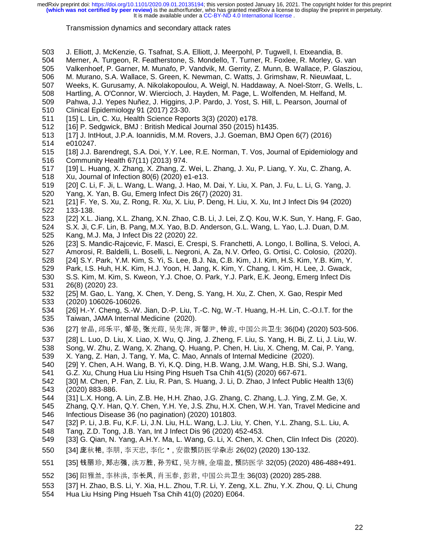#### Transmission dynamics and secondary attack rates

- 503 J. Elliott, J. McKenzie, G. Tsafnat, S.A. Elliott, J. Meerpohl, P. Tugwell, I. Etxeandia, B.
- 504 Merner, A. Turgeon, R. Featherstone, S. Mondello, T. Turner, R. Foxlee, R. Morley, G. van
- 505 Valkenhoef, P. Garner, M. Munafo, P. Vandvik, M. Gerrity, Z. Munn, B. Wallace, P. Glasziou, 506 M. Murano, S.A. Wallace, S. Green, K. Newman, C. Watts, J. Grimshaw, R. Nieuwlaat, L.
- 506 M. Murano, S.A. Wallace, S. Green, K. Newman, C. Watts, J. Grimshaw, R. Nieuwlaat, L.
- 507 Weeks, K. Gurusamy, A. Nikolakopoulou, A. Weigl, N. Haddaway, A. Noel-Storr, G. Wells, L.
- 508 Hartling, A. O'Connor, W. Wiercioch, J. Hayden, M. Page, L. Wolfenden, M. Helfand, M.
- 509 Pahwa, J.J. Yepes Nuñez, J. Higgins, J.P. Pardo, J. Yost, S. Hill, L. Pearson, Journal of
- 510 Clinical Epidemiology 91 (2017) 23-30.
- 511 [15] L. Lin, C. Xu, Health Science Reports 3(3) (2020) e178.
- [16] P. Sedgwick, BMJ : British Medical Journal 350 (2015) h1435.
- 513 [17] J. IntHout, J.P.A. Ioannidis, M.M. Rovers, J.J. Goeman, BMJ Open 6(7) (2016)
- e010247.
- 515 [18] J.J. Barendregt, S.A. Doi, Y.Y. Lee, R.E. Norman, T. Vos, Journal of Epidemiology and 516 Community Health 67(11) (2013) 974.
- 517 [19] L. Huang, X. Zhang, X. Zhang, Z. Wei, L. Zhang, J. Xu, P. Liang, Y. Xu, C. Zhang, A. 518 Xu, Journal of Infection 80(6) (2020) e1-e13.
- 519 [20] C. Li, F. Ji, L. Wang, L. Wang, J. Hao, M. Dai, Y. Liu, X. Pan, J. Fu, L. Li, G. Yang, J.<br>520 Yang, X. Yan, B. Gu, Emerg Infect Dis 26(7) (2020) 31.
- 520 Yang, X. Yan, B. Gu, Emerg Infect Dis 26(7) (2020) 31.
- 521 [21] F. Ye, S. Xu, Z. Rong, R. Xu, X. Liu, P. Deng, H. Liu, X. Xu, Int J Infect Dis 94 (2020) 133-138.
- 523 [22] X.L. Jiang, X.L. Zhang, X.N. Zhao, C.B. Li, J. Lei, Z.Q. Kou, W.K. Sun, Y. Hang, F. Gao,

524 S.X. Ji, C.F. Lin, B. Pang, M.X. Yao, B.D. Anderson, G.L. Wang, L. Yao, L.J. Duan, D.M. 525 Kang, M.J. Ma, J Infect Dis 22 (2020) 22.

- 526 [23] S. Mandic-Rajcevic, F. Masci, E. Crespi, S. Franchetti, A. Longo, I. Bollina, S. Veloci, A.
- 527 Amorosi, R. Baldelli, L. Boselli, L. Negroni, A. Za, N.V. Orfeo, G. Ortisi, C. Colosio, (2020).<br>528 [24] S.Y. Park, Y.M. Kim, S. Yi, S. Lee, B.J. Na, C.B. Kim, J.I. Kim, H.S. Kim, Y.B. Kim, Y.
- 528 [24] S.Y. Park, Y.M. Kim, S. Yi, S. Lee, B.J. Na, C.B. Kim, J.I. Kim, H.S. Kim, Y.B. Kim, Y.
- 529 Park, I.S. Huh, H.K. Kim, H.J. Yoon, H. Jang, K. Kim, Y. Chang, I. Kim, H. Lee, J. Gwack,
- 530 S.S. Kim, M. Kim, S. Kweon, Y.J. Choe, O. Park, Y.J. Park, E.K. Jeong, Emerg Infect Dis 531 26(8) (2020) 23.
- 532 [25] M. Gao, L. Yang, X. Chen, Y. Deng, S. Yang, H. Xu, Z. Chen, X. Gao, Respir Med 533 (2020) 106026-106026.
- [26] H.-Y. Cheng, S.-W. Jian, D.-P. Liu, T.-C. Ng, W.-T. Huang, H.-H. Lin, C.-O.I.T. for the 535 Taiwan, JAMA Internal Medicine (2020).
- 536 [27] 曾晶, 邱乐平, 邹晏, 张光葭, 吴先萍, 胥馨尹, 钟波, 中国公共卫生 36(04) (2020) 503-506.<br>537 [28] L. Luo, D. Liu, X. Liao, X. Wu, Q. Jing, J. Zheng, F. Liu, S. Yang, H. Bi, Z. Li, J. Liu, W.
- 537 [28] L. Luo, D. Liu, X. Liao, X. Wu, Q. Jing, J. Zheng, F. Liu, S. Yang, H. Bi, Z. Li, J. Liu, W.
- 538 Song, W. Zhu, Z. Wang, X. Zhang, Q. Huang, P. Chen, H. Liu, X. Cheng, M. Cai, P. Yang, 539 X. Yang, Z. Han, J. Tang, Y. Ma, C. Mao, Annals of Internal Medicine (2020).
- 540 [29] Y. Chen, A.H. Wang, B. Yi, K.Q. Ding, H.B. Wang, J.M. Wang, H.B. Shi, S.J. Wang,
- 
- 541 G.Z. Xu, Chung Hua Liu Hsing Ping Hsueh Tsa Chih 41(5) (2020) 667-671.<br>542 [30] M. Chen, P. Fan, Z. Liu, R. Pan, S. Huang, J. Li, D. Zhao, J Infect Publi 542 [30] M. Chen, P. Fan, Z. Liu, R. Pan, S. Huang, J. Li, D. Zhao, J Infect Public Health 13(6)<br>543 (2020) 883-886. (2020) 883-886.
- 544 [31] L.X. Hong, A. Lin, Z.B. He, H.H. Zhao, J.G. Zhang, C. Zhang, L.J. Ying, Z.M. Ge, X.
- 545 Zhang, Q.Y. Han, Q.Y. Chen, Y.H. Ye, J.S. Zhu, H.X. Chen, W.H. Yan, Travel Medicine and 546 Infectious Disease 36 (no pagination) (2020) 101803.
- 547 [32] P. Li, J.B. Fu, K.F. Li, J.N. Liu, H.L. Wang, L.J. Liu, Y. Chen, Y.L. Zhang, S.L. Liu, A.
- 548 Tang, Z.D. Tong, J.B. Yan, Int J Infect Dis 96 (2020) 452-453.<br>549 [33] G. Qian, N. Yang, A.H.Y. Ma, L. Wang, G. Li, X. Chen, X.
- [33] G. Qian, N. Yang, A.H.Y. Ma, L. Wang, G. Li, X. Chen, X. Chen, Clin Infect Dis (2020).
- 550 [34] 庞秋艳, 李朋, 李天忠, 李化 , 安徽预防医学杂志 26(02) (2020) 130-132.<br>551 [35] 钱丽珍, 郑志强, 洪万胜, 孙芳红, 吴方楠, 金瑞盈, 预防医学 32(05) (2020)
- 551 [35] 钱丽珍, 郑志强, 洪万胜, 孙芳红, 吴方楠, 金瑞盈, 预防医学 32(05) (2020) 486-488+491.<br>552 [36] 阳雅兰, 李林洪, 李长凤, 肖玉春, 彭君, 中国公共卫生 36(03) (2020) 285-288.
- 
- 552 [36] 阳雅兰, 李林洪, 李长凤, 肖玉春, 彭君, 中国公共卫生 36(03) (2020) 285-288.<br>553 [37] H. Zhao, B.S. Li, Y. Xia, H.L. Zhou, T.R. Li, Y. Zeng, X.L. Zhu, Y.X. Zhou, Q 553 [37] H. Zhao, B.S. Li, Y. Xia, H.L. Zhou, T.R. Li, Y. Zeng, X.L. Zhu, Y.X. Zhou, Q. Li, Chung
- 554 Hua Liu Hsing Ping Hsueh Tsa Chih 41(0) (2020) E064.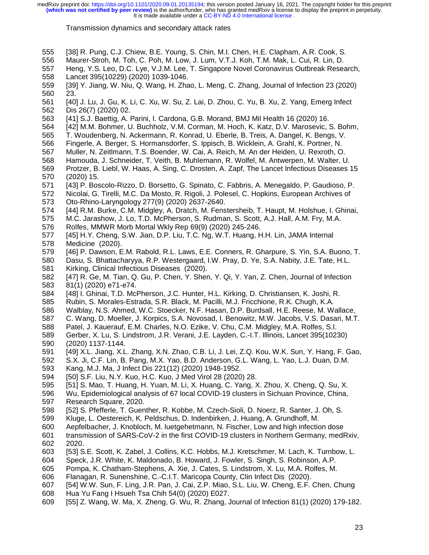- 555 [38] R. Pung, C.J. Chiew, B.E. Young, S. Chin, M.I. Chen, H.E. Clapham, A.R. Cook, S.
- 556 Maurer-Stroh, M. Toh, C. Poh, M. Low, J. Lum, V.T.J. Koh, T.M. Mak, L. Cui, R. Lin, D.
- 557 Heng, Y.S. Leo, D.C. Lye, V.J.M. Lee, T. Singapore Novel Coronavirus Outbreak Research, 558 Lancet 395(10229) (2020) 1039-1046.
- 559 [39] Y. Jiang, W. Niu, Q. Wang, H. Zhao, L. Meng, C. Zhang, Journal of Infection 23 (2020) 560 23.
- 561 [40] J. Lu, J. Gu, K. Li, C. Xu, W. Su, Z. Lai, D. Zhou, C. Yu, B. Xu, Z. Yang, Emerg Infect 562 Dis 26(7) (2020) 02.
- 563 [41] S.J. Baettig, A. Parini, I. Cardona, G.B. Morand, BMJ Mil Health 16 (2020) 16.
- 564 [42] M.M. Bohmer, U. Buchholz, V.M. Corman, M. Hoch, K. Katz, D.V. Marosevic, S. Bohm,
- 565 T. Woudenberg, N. Ackermann, R. Konrad, U. Eberle, B. Treis, A. Dangel, K. Bengs, V.
- 566 Fingerle, A. Berger, S. Hormansdorfer, S. Ippisch, B. Wicklein, A. Grahl, K. Portner, N.
- 567 Muller, N. Zeitlmann, T.S. Boender, W. Cai, A. Reich, M. An der Heiden, U. Rexroth, O.
- 568 Hamouda, J. Schneider, T. Veith, B. Muhlemann, R. Wolfel, M. Antwerpen, M. Walter, U.
- 569 Protzer, B. Liebl, W. Haas, A. Sing, C. Drosten, A. Zapf, The Lancet Infectious Diseases 15 570 (2020) 15.
- 571 [43] P. Boscolo-Rizzo, D. Borsetto, G. Spinato, C. Fabbris, A. Menegaldo, P. Gaudioso, P.
- 572 Nicolai, G. Tirelli, M.C. Da Mosto, R. Rigoli, J. Polesel, C. Hopkins, European Archives of 573 Oto-Rhino-Laryngology 277(9) (2020) 2637-2640.
- 574 [44] R.M. Burke, C.M. Midgley, A. Dratch, M. Fenstersheib, T. Haupt, M. Holshue, I. Ghinai,
- 575 M.C. Jarashow, J. Lo, T.D. McPherson, S. Rudman, S. Scott, A.J. Hall, A.M. Fry, M.A.
- 576 Rolfes, MMWR Morb Mortal Wkly Rep 69(9) (2020) 245-246.
- 577 [45] H.Y. Cheng, S.W. Jian, D.P. Liu, T.C. Ng, W.T. Huang, H.H. Lin, JAMA Internal 578 Medicine (2020).
- 579 [46] P. Dawson, E.M. Rabold, R.L. Laws, E.E. Conners, R. Gharpure, S. Yin, S.A. Buono, T. 580 Dasu, S. Bhattacharyya, R.P. Westergaard, I.W. Pray, D. Ye, S.A. Nabity, J.E. Tate, H.L.
- 581 Kirking, Clinical Infectious Diseases (2020).
- 582 [47] R. Ge, M. Tian, Q. Gu, P. Chen, Y. Shen, Y. Qi, Y. Yan, Z. Chen, Journal of Infection 583 81(1) (2020) e71-e74.
- 584 [48] I. Ghinai, T.D. McPherson, J.C. Hunter, H.L. Kirking, D. Christiansen, K. Joshi, R.
- 585 Rubin, S. Morales-Estrada, S.R. Black, M. Pacilli, M.J. Fricchione, R.K. Chugh, K.A.
- 586 Walblay, N.S. Ahmed, W.C. Stoecker, N.F. Hasan, D.P. Burdsall, H.E. Reese, M. Wallace,
- 587 C. Wang, D. Moeller, J. Korpics, S.A. Novosad, I. Benowitz, M.W. Jacobs, V.S. Dasari, M.T.
- 588 Patel, J. Kauerauf, E.M. Charles, N.O. Ezike, V. Chu, C.M. Midgley, M.A. Rolfes, S.I.
- 589 Gerber, X. Lu, S. Lindstrom, J.R. Verani, J.E. Layden, C.-I.T. Illinois, Lancet 395(10230) 590 (2020) 1137-1144.
- 591 [49] X.L. Jiang, X.L. Zhang, X.N. Zhao, C.B. Li, J. Lei, Z.Q. Kou, W.K. Sun, Y. Hang, F. Gao,
- 592 S.X. Ji, C.F. Lin, B. Pang, M.X. Yao, B.D. Anderson, G.L. Wang, L. Yao, L.J. Duan, D.M.
- 593 Kang, M.J. Ma, J Infect Dis 221(12) (2020) 1948-1952.
- 594 [50] S.F. Liu, N.Y. Kuo, H.C. Kuo, J Med Virol 28 (2020) 28.
- 595 [51] S. Mao, T. Huang, H. Yuan, M. Li, X. Huang, C. Yang, X. Zhou, X. Cheng, Q. Su, X.
- 596 Wu, Epidemiological analysis of 67 local COVID-19 clusters in Sichuan Province, China, 597 Research Square, 2020.
- 598 [52] S. Pfefferle, T. Guenther, R. Kobbe, M. Czech-Sioli, D. Noerz, R. Santer, J. Oh, S.
- 599 Kluge, L. Oestereich, K. Peldschus, D. Indenbirken, J. Huang, A. Grundhoff, M.
- 
- 600 Aepfelbacher, J. Knobloch, M. luetgehetmann, N. Fischer, Low and high infection dose 601 transmission of SARS-CoV-2 in the first COVID-19 clusters in Northern Germany, medRxiv, 2020.
- 603 [53] S.E. Scott, K. Zabel, J. Collins, K.C. Hobbs, M.J. Kretschmer, M. Lach, K. Turnbow, L.
- 604 Speck, J.R. White, K. Maldonado, B. Howard, J. Fowler, S. Singh, S. Robinson, A.P.
- 605 Pompa, K. Chatham-Stephens, A. Xie, J. Cates, S. Lindstrom, X. Lu, M.A. Rolfes, M.
- 606 Flanagan, R. Sunenshine, C.-C.I.T. Maricopa County, Clin Infect Dis (2020).
- 607 [54] W.W. Sun, F. Ling, J.R. Pan, J. Cai, Z.P. Miao, S.L. Liu, W. Cheng, E.F. Chen, Chung
- 608 Hua Yu Fang I Hsueh Tsa Chih 54(0) (2020) E027.
- 609 [55] Z. Wang, W. Ma, X. Zheng, G. Wu, R. Zhang, Journal of Infection 81(1) (2020) 179-182.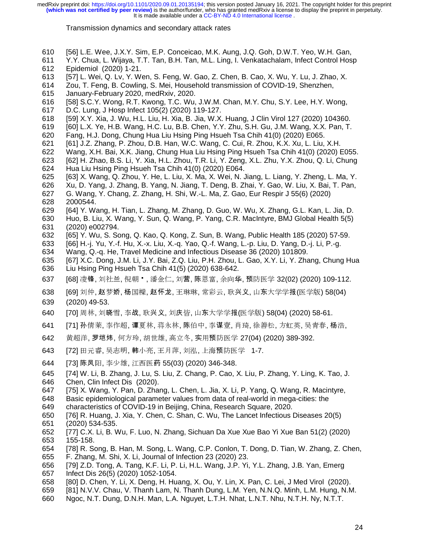- 610 [56] L.E. Wee, J.X.Y. Sim, E.P. Conceicao, M.K. Aung, J.Q. Goh, D.W.T. Yeo, W.H. Gan,
- 611 Y.Y. Chua, L. Wijaya, T.T. Tan, B.H. Tan, M.L. Ling, I. Venkatachalam, Infect Control Hosp
- 612 Epidemiol (2020) 1-21. [57] L. Wei, Q. Lv, Y. Wen, S. Feng, W. Gao, Z. Chen, B. Cao, X. Wu, Y. Lu, J. Zhao, X.
- 614 Zou, T. Feng, B. Cowling, S. Mei, Household transmission of COVID-19, Shenzhen,
- 615 January-February 2020, medRxiv, 2020.
- 616 [58] S.C.Y. Wong, R.T. Kwong, T.C. Wu, J.W.M. Chan, M.Y. Chu, S.Y. Lee, H.Y. Wong,
- 617 D.C. Lung, J Hosp Infect 105(2) (2020) 119-127.
- 618 [59] X.Y. Xia, J. Wu, H.L. Liu, H. Xia, B. Jia, W.X. Huang, J Clin Virol 127 (2020) 104360.<br>619 [60] L.X. Ye, H.B. Wang, H.C. Lu, B.B. Chen, Y.Y. Zhu, S.H. Gu, J.M. Wang, X.X. Pan, T.
- 619 [60] L.X. Ye, H.B. Wang, H.C. Lu, B.B. Chen, Y.Y. Zhu, S.H. Gu, J.M. Wang, X.X. Pan, T.
- 620 Fang, H.J. Dong, Chung Hua Liu Hsing Ping Hsueh Tsa Chih 41(0) (2020) E065.
- 621 [61] J.Z. Zhang, P. Zhou, D.B. Han, W.C. Wang, C. Cui, R. Zhou, K.X. Xu, L. Liu, X.H.
- 622 Wang, X.H. Bai, X.K. Jiang, Chung Hua Liu Hsing Ping Hsueh Tsa Chih 41(0) (2020) E055.
- 623 [62] H. Zhao, B.S. Li, Y. Xia, H.L. Zhou, T.R. Li, Y. Zeng, X.L. Zhu, Y.X. Zhou, Q. Li, Chung 624 Hua Liu Hsing Ping Hsueh Tsa Chih 41(0) (2020) E064.
- 625 [63] X. Wang, Q. Zhou, Y. He, L. Liu, X. Ma, X. Wei, N. Jiang, L. Liang, Y. Zheng, L. Ma, Y.<br>626 Xu, D. Yang, J. Zhang, B. Yang, N. Jiang, T. Deng, B. Zhai, Y. Gao, W. Liu, X. Bai, T. Pan,
- 626 Xu, D. Yang, J. Zhang, B. Yang, N. Jiang, T. Deng, B. Zhai, Y. Gao, W. Liu, X. Bai, T. Pan,
- 627 G. Wang, Y. Chang, Z. Zhang, H. Shi, W.-L. Ma, Z. Gao, Eur Respir J 55(6) (2020) 628 2000544.<br>629 [64] Y.Wa
- 629 [64] Y. Wang, H. Tian, L. Zhang, M. Zhang, D. Guo, W. Wu, X. Zhang, G.L. Kan, L. Jia, D.
- 630 Huo, B. Liu, X. Wang, Y. Sun, Q. Wang, P. Yang, C.R. MacIntyre, BMJ Global Health 5(5) 631 (2020) e002794.
- 632 [65] Y. Wu, S. Song, Q. Kao, Q. Kong, Z. Sun, B. Wang, Public Health 185 (2020) 57-59.<br>633 [66] H.-j. Yu, Y.-f. Hu, X.-x. Liu, X.-q. Yao, Q.-f. Wang, L.-p. Liu, D. Yang, D.-j. Li, P.-g.
- 633 [66] H.-j. Yu, Y.-f. Hu, X.-x. Liu, X.-q. Yao, Q.-f. Wang, L.-p. Liu, D. Yang, D.-j. Li, P.-g.
- 634 Wang, Q.-q. He, Travel Medicine and Infectious Disease 36 (2020) 101809.
- 635 [67] X.C. Dong, J.M. Li, J.Y. Bai, Z.Q. Liu, P.H. Zhou, L. Gao, X.Y. Li, Y. Zhang, Chung Hua 636 Liu Hsing Ping Hsueh Tsa Chih 41(5) (2020) 638-642.
- 637 [68] 凌锋, 刘社兰, 倪朝 <sup>•</sup> , 潘金仁, 刘营, 陈恩富, 余向华, 预防医学 32(02) (2020) 109-112.<br>638 [69] 刘仲, 赵梦娇, 杨国樑, 赵怀龙, 王琳琳, 常彩云, 耿兴义, 山东大学学报(医学版) 58(04)
- 638 [69] 刘仲, 赵梦娇, 杨国樑, 赵怀龙, 王琳琳, 常彩云, 耿兴义, 山东大学学报(医学版) 58(04)<br>639 (2020) 49-53. (2020) 49-53.
- 640 [70] 周林, 刘晓雪, 李战, 耿兴义, 刘庆皆, 山东大学学报(医学版) 58(04) (2020) 58-61.<br>641 [71] 孙倩莱, 李作超, 谭夏林, 蒋永林, 陈伯中, 李谋壹, 肖琦, 徐善松, 方虹英, 吴青春, 杉
- 641 [71] 孙倩莱, 李作超, 谭夏林, 蒋永林, 陈伯中, 李谋壹, 肖琦, 徐善松, 方虹英, 吴青春, 杨浩,<br>642 黄超洋. 罗垲炜. 何方玲. 胡世雄. 高立冬. 实用预防医学 27(04) (2020) 389-392.
- 642 黄超洋, 罗垲炜, 何方玲, 胡世雄, 高立冬, 实用预防医学 27(04) (2020) 389-392.<br>643 [72] 田元睿, 吴志明, 韩小亮, 王月萍, 刘泓, 上海预防医学 1-7.
- 643 [72] 田元睿, 吴志明, 韩小亮, 王月萍, 刘泓, 上海预防医学 1-7.<br>644 [73] 陈凤阳. 李少雄. 江西医药 55(03) (2020) 346-348.
- 644 [73] 陈凤阳, 李少雄, 江西医药 55(03) (2020) 346-348.<br>645 [74] W. Li, B. Zhang, J. Lu, S. Liu, Z. Chang, P. Cao, )
- [74] W. Li, B. Zhang, J. Lu, S. Liu, Z. Chang, P. Cao, X. Liu, P. Zhang, Y. Ling, K. Tao, J. 646 Chen, Clin Infect Dis (2020).
- 647 [75] X. Wang, Y. Pan, D. Zhang, L. Chen, L. Jia, X. Li, P. Yang, Q. Wang, R. Macintyre,
- 648 Basic epidemiological parameter values from data of real-world in mega-cities: the 649 characteristics of COVID-19 in Beijing, China, Research Square, 2020.
- 650 [76] R. Huang, J. Xia, Y. Chen, C. Shan, C. Wu, The Lancet Infectious Diseases 20(5)
- 
- 651 (2020) 534-535.<br>652 [77] C.X. Li, B. V 652 [77] C.X. Li, B. Wu, F. Luo, N. Zhang, Sichuan Da Xue Xue Bao Yi Xue Ban 51(2) (2020) 653 155-158.
- 654 [78] R. Song, B. Han, M. Song, L. Wang, C.P. Conlon, T. Dong, D. Tian, W. Zhang, Z. Chen,
- 655 F. Zhang, M. Shi, X. Li, Journal of Infection 23 (2020) 23.
- 656 [79] Z.D. Tong, A. Tang, K.F. Li, P. Li, H.L. Wang, J.P. Yi, Y.L. Zhang, J.B. Yan, Emerg<br>657 Infect Dis 26(5) (2020) 1052-1054. 657 Infect Dis 26(5) (2020) 1052-1054.
- 658 [80] D. Chen, Y. Li, X. Deng, H. Huang, X. Ou, Y. Lin, X. Pan, C. Lei, J Med Virol (2020).
- 659 [81] N.V.V. Chau, V. Thanh Lam, N. Thanh Dung, L.M. Yen, N.N.Q. Minh, L.M. Hung, N.M.
- 660 Ngoc, N.T. Dung, D.N.H. Man, L.A. Nguyet, L.T.H. Nhat, L.N.T. Nhu, N.T.H. Ny, N.T.T.